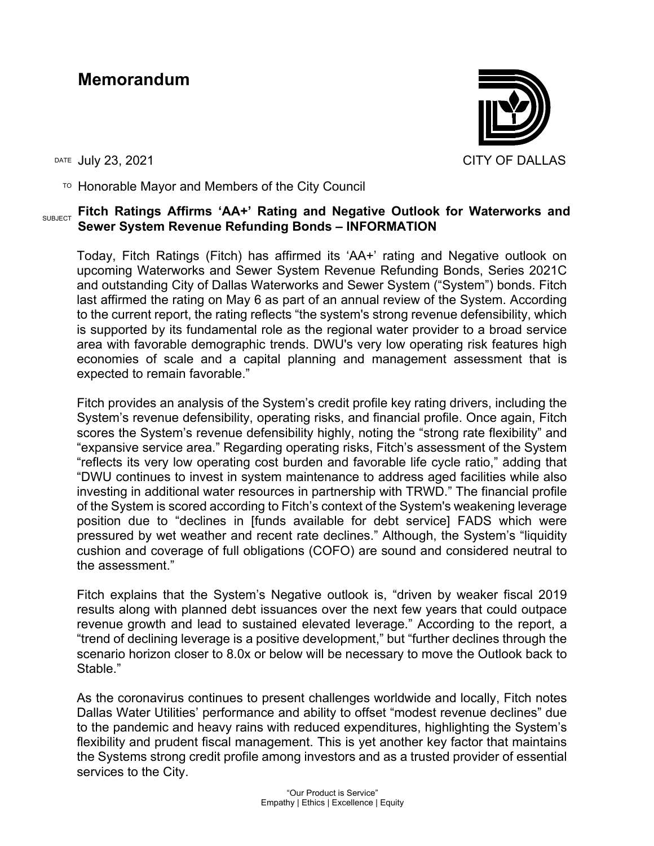## **Memorandum**



 $\overline{P}$  Honorable Mayor and Members of the City Council

#### SUBJECT **Fitch Ratings Affirms 'AA+' Rating and Negative Outlook for Waterworks and Sewer System Revenue Refunding Bonds – INFORMATION**

Today, Fitch Ratings (Fitch) has affirmed its 'AA+' rating and Negative outlook on upcoming Waterworks and Sewer System Revenue Refunding Bonds, Series 2021C and outstanding City of Dallas Waterworks and Sewer System ("System") bonds. Fitch last affirmed the rating on May 6 as part of an annual review of the System. According to the current report, the rating reflects "the system's strong revenue defensibility, which is supported by its fundamental role as the regional water provider to a broad service area with favorable demographic trends. DWU's very low operating risk features high economies of scale and a capital planning and management assessment that is expected to remain favorable."

Fitch provides an analysis of the System's credit profile key rating drivers, including the System's revenue defensibility, operating risks, and financial profile. Once again, Fitch scores the System's revenue defensibility highly, noting the "strong rate flexibility" and "expansive service area." Regarding operating risks, Fitch's assessment of the System "reflects its very low operating cost burden and favorable life cycle ratio," adding that "DWU continues to invest in system maintenance to address aged facilities while also investing in additional water resources in partnership with TRWD." The financial profile of the System is scored according to Fitch's context of the System's weakening leverage position due to "declines in [funds available for debt service] FADS which were pressured by wet weather and recent rate declines." Although, the System's "liquidity cushion and coverage of full obligations (COFO) are sound and considered neutral to the assessment."

Fitch explains that the System's Negative outlook is, "driven by weaker fiscal 2019 results along with planned debt issuances over the next few years that could outpace revenue growth and lead to sustained elevated leverage." According to the report, a "trend of declining leverage is a positive development," but "further declines through the scenario horizon closer to 8.0x or below will be necessary to move the Outlook back to Stable."

As the coronavirus continues to present challenges worldwide and locally, Fitch notes Dallas Water Utilities' performance and ability to offset "modest revenue declines" due to the pandemic and heavy rains with reduced expenditures, highlighting the System's flexibility and prudent fiscal management. This is yet another key factor that maintains the Systems strong credit profile among investors and as a trusted provider of essential services to the City.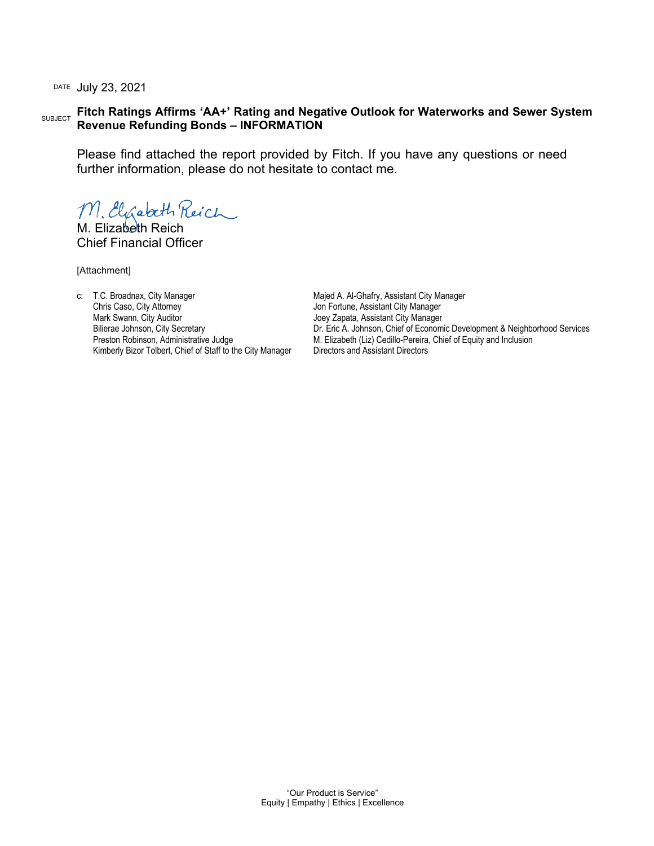DATE July 23, 2021

## SUBJECT **Fitch Ratings Affirms 'AA+' Rating and Negative Outlook for Waterworks and Sewer System Revenue Refunding Bonds – INFORMATION**

Please find attached the report provided by Fitch. If you have any questions or need further information, please do not hesitate to contact me.

M. Elgabath Reich

Chief Financial Officer

[Attachment]

c: T.C. Broadnax, City Manager Chris Caso, City Attorney Mark Swann, City Auditor Bilierae Johnson, City Secretary Preston Robinson, Administrative Judge Kimberly Bizor Tolbert, Chief of Staff to the City Manager Majed A. Al-Ghafry, Assistant City Manager Jon Fortune, Assistant City Manager Joey Zapata, Assistant City Manager Dr. Eric A. Johnson, Chief of Economic Development & Neighborhood Services M. Elizabeth (Liz) Cedillo-Pereira, Chief of Equity and Inclusion Directors and Assistant Directors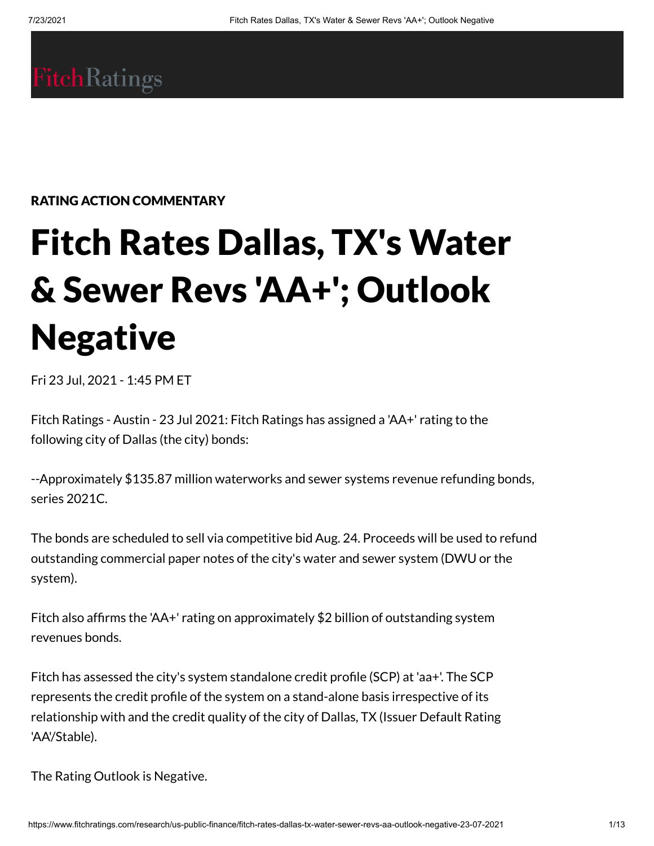

## RATING ACTION COMMENTARY

# Fitch Rates Dallas, TX's Water & Sewer Revs 'AA+'; Outlook Negative

Fri 23 Jul, 2021 - 1:45 PM ET

Fitch Ratings - Austin - 23 Jul 2021: Fitch Ratings has assigned a 'AA+' rating to the following city of Dallas (the city) bonds:

--Approximately \$135.87 million waterworks and sewer systems revenue refunding bonds, series 2021C.

The bonds are scheduled to sell via competitive bid Aug. 24. Proceeds will be used to refund outstanding commercial paper notes of the city's water and sewer system (DWU or the system).

Fitch also affirms the 'AA+' rating on approximately \$2 billion of outstanding system revenues bonds.

Fitch has assessed the city's system standalone credit profile (SCP) at 'aa+'. The SCP represents the credit profile of the system on a stand-alone basis irrespective of its relationship with and the credit quality of the city of Dallas, TX (Issuer Default Rating 'AA'/Stable).

The Rating Outlook is Negative.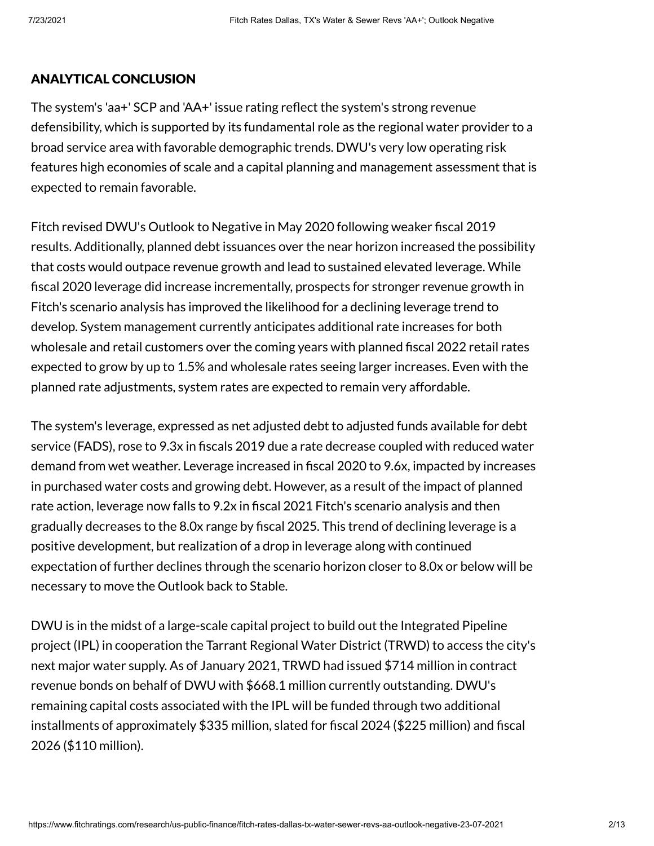## ANALYTICAL CONCLUSION

The system's 'aa+' SCP and 'AA+' issue rating reflect the system's strong revenue defensibility, which is supported by its fundamental role as the regional water provider to a broad service area with favorable demographic trends. DWU's very low operating risk features high economies of scale and a capital planning and management assessment that is expected to remain favorable.

Fitch revised DWU's Outlook to Negative in May 2020 following weaker fiscal 2019 results. Additionally, planned debt issuances over the near horizon increased the possibility that costs would outpace revenue growth and lead to sustained elevated leverage. While fiscal 2020 leverage did increase incrementally, prospects for stronger revenue growth in Fitch's scenario analysis has improved the likelihood for a declining leverage trend to develop. System management currently anticipates additional rate increases for both wholesale and retail customers over the coming years with planned fiscal 2022 retail rates expected to grow by up to 1.5% and wholesale rates seeing larger increases. Even with the planned rate adjustments, system rates are expected to remain very affordable.

The system's leverage, expressed as net adjusted debt to adjusted funds available for debt service (FADS), rose to 9.3x in fiscals 2019 due a rate decrease coupled with reduced water demand from wet weather. Leverage increased in fiscal 2020 to 9.6x, impacted by increases in purchased water costs and growing debt. However, as a result of the impact of planned rate action, leverage now falls to 9.2x in fiscal 2021 Fitch's scenario analysis and then gradually decreases to the 8.0x range by fiscal 2025. This trend of declining leverage is a positive development, but realization of a drop in leverage along with continued expectation of further declines through the scenario horizon closer to 8.0x or below will be necessary to move the Outlook back to Stable.

DWU is in the midst of a large-scale capital project to build out the Integrated Pipeline project (IPL) in cooperation the Tarrant Regional Water District (TRWD) to access the city's next major water supply. As of January 2021, TRWD had issued \$714 million in contract revenue bonds on behalf of DWU with \$668.1 million currently outstanding. DWU's remaining capital costs associated with the IPL will be funded through two additional installments of approximately \$335 million, slated for fiscal 2024 (\$225 million) and fiscal 2026 (\$110 million).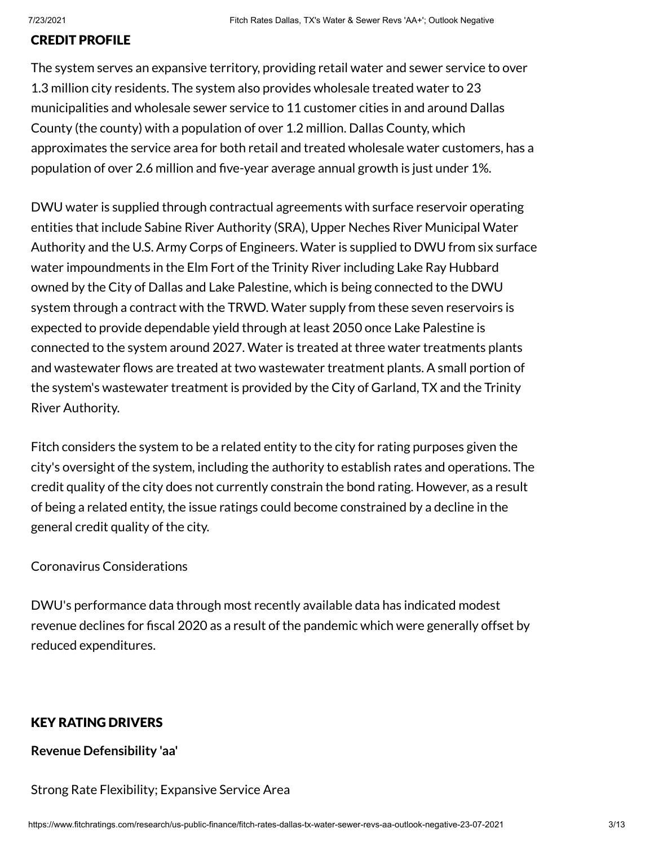## CREDIT PROFILE

The system serves an expansive territory, providing retail water and sewer service to over 1.3 million city residents. The system also provides wholesale treated water to 23 municipalities and wholesale sewer service to 11 customer cities in and around Dallas County (the county) with a population of over 1.2 million. Dallas County, which approximates the service area for both retail and treated wholesale water customers, has a population of over 2.6 million and five-year average annual growth is just under 1%.

DWU water is supplied through contractual agreements with surface reservoir operating entities that include Sabine River Authority (SRA), Upper Neches River Municipal Water Authority and the U.S. Army Corps of Engineers. Water is supplied to DWU from six surface water impoundments in the Elm Fort of the Trinity River including Lake Ray Hubbard owned by the City of Dallas and Lake Palestine, which is being connected to the DWU system through a contract with the TRWD. Water supply from these seven reservoirs is expected to provide dependable yield through at least 2050 once Lake Palestine is connected to the system around 2027. Water is treated at three water treatments plants and wastewater flows are treated at two wastewater treatment plants. A small portion of the system's wastewater treatment is provided by the City of Garland, TX and the Trinity River Authority.

Fitch considers the system to be a related entity to the city for rating purposes given the city's oversight of the system, including the authority to establish rates and operations. The credit quality of the city does not currently constrain the bond rating. However, as a result of being a related entity, the issue ratings could become constrained by a decline in the general credit quality of the city.

## Coronavirus Considerations

DWU's performance data through most recently available data has indicated modest revenue declines for fiscal 2020 as a result of the pandemic which were generally offset by reduced expenditures.

#### KEY RATING DRIVERS

#### **Revenue Defensibility 'aa'**

#### Strong Rate Flexibility; Expansive Service Area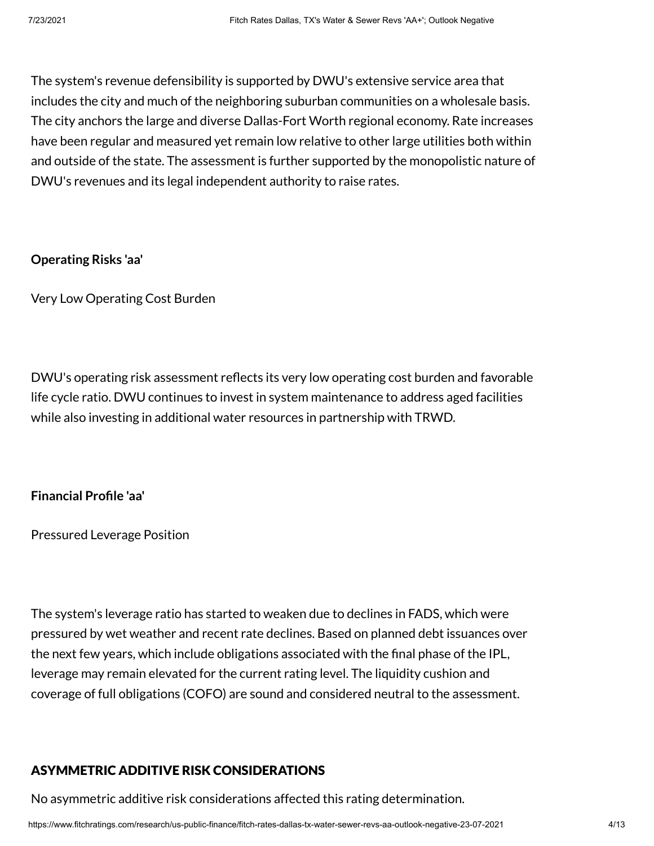The system's revenue defensibility is supported by DWU's extensive service area that includes the city and much of the neighboring suburban communities on a wholesale basis. The city anchors the large and diverse Dallas-Fort Worth regional economy. Rate increases have been regular and measured yet remain low relative to other large utilities both within and outside of the state. The assessment is further supported by the monopolistic nature of DWU's revenues and its legal independent authority to raise rates.

## **Operating Risks 'aa'**

Very Low Operating Cost Burden

DWU's operating risk assessment reflects its very low operating cost burden and favorable life cycle ratio. DWU continues to invest in system maintenance to address aged facilities while also investing in additional water resources in partnership with TRWD.

## **Financial Profile 'aa'**

Pressured Leverage Position

The system's leverage ratio has started to weaken due to declines in FADS, which were pressured by wet weather and recent rate declines. Based on planned debt issuances over the next few years, which include obligations associated with the final phase of the IPL, leverage may remain elevated for the current rating level. The liquidity cushion and coverage of full obligations (COFO) are sound and considered neutral to the assessment.

## ASYMMETRIC ADDITIVE RISK CONSIDERATIONS

No asymmetric additive risk considerations affected this rating determination.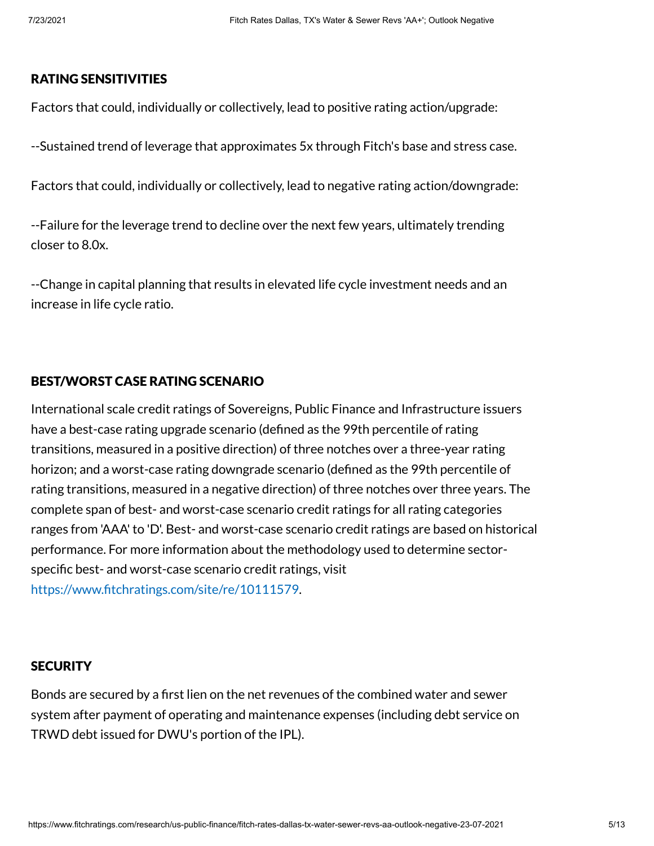#### RATING SENSITIVITIES

Factors that could, individually or collectively, lead to positive rating action/upgrade:

--Sustained trend of leverage that approximates 5x through Fitch's base and stress case.

Factors that could, individually or collectively, lead to negative rating action/downgrade:

--Failure for the leverage trend to decline over the next few years, ultimately trending closer to 8.0x.

--Change in capital planning that results in elevated life cycle investment needs and an increase in life cycle ratio.

#### BEST/WORST CASE RATING SCENARIO

International scale credit ratings of Sovereigns, Public Finance and Infrastructure issuers have a best-case rating upgrade scenario (defined as the 99th percentile of rating transitions, measured in a positive direction) of three notches over a three-year rating horizon; and a worst-case rating downgrade scenario (defined as the 99th percentile of rating transitions, measured in a negative direction) of three notches over three years. The complete span of best- and worst-case scenario credit ratings for all rating categories ranges from 'AAA' to 'D'. Best- and worst-case scenario credit ratings are based on historical performance. For more information about the methodology used to determine sectorspecific best- and worst-case scenario credit ratings, visit [https://www.fitchratings.com/site/re/10111579.](https://www.fitchratings.com/site/re/10111579)

#### **SECURITY**

Bonds are secured by a first lien on the net revenues of the combined water and sewer system after payment of operating and maintenance expenses (including debt service on TRWD debt issued for DWU's portion of the IPL).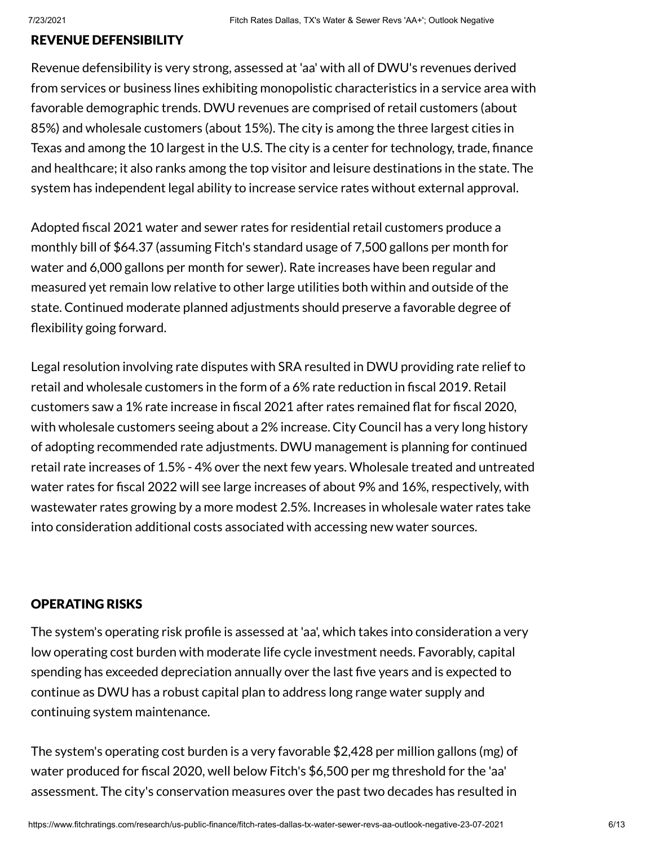#### REVENUE DEFENSIBILITY

Revenue defensibility is very strong, assessed at 'aa' with all of DWU's revenues derived from services or business lines exhibiting monopolistic characteristics in a service area with favorable demographic trends. DWU revenues are comprised of retail customers (about 85%) and wholesale customers (about 15%). The city is among the three largest cities in Texas and among the 10 largest in the U.S. The city is a center for technology, trade, finance and healthcare; it also ranks among the top visitor and leisure destinations in the state. The system has independent legal ability to increase service rates without external approval.

Adopted fiscal 2021 water and sewer rates for residential retail customers produce a monthly bill of \$64.37 (assuming Fitch's standard usage of 7,500 gallons per month for water and 6,000 gallons per month for sewer). Rate increases have been regular and measured yet remain low relative to other large utilities both within and outside of the state. Continued moderate planned adjustments should preserve a favorable degree of flexibility going forward.

Legal resolution involving rate disputes with SRA resulted in DWU providing rate relief to retail and wholesale customers in the form of a 6% rate reduction in fiscal 2019. Retail customers saw a 1% rate increase in fiscal 2021 after rates remained flat for fiscal 2020, with wholesale customers seeing about a 2% increase. City Council has a very long history of adopting recommended rate adjustments. DWU management is planning for continued retail rate increases of 1.5% - 4% over the next few years. Wholesale treated and untreated water rates for fiscal 2022 will see large increases of about 9% and 16%, respectively, with wastewater rates growing by a more modest 2.5%. Increases in wholesale water rates take into consideration additional costs associated with accessing new water sources.

#### OPERATING RISKS

The system's operating risk profile is assessed at 'aa', which takes into consideration a very low operating cost burden with moderate life cycle investment needs. Favorably, capital spending has exceeded depreciation annually over the last five years and is expected to continue as DWU has a robust capital plan to address long range water supply and continuing system maintenance.

The system's operating cost burden is a very favorable \$2,428 per million gallons (mg) of water produced for fiscal 2020, well below Fitch's \$6,500 per mg threshold for the 'aa' assessment. The city's conservation measures over the past two decades has resulted in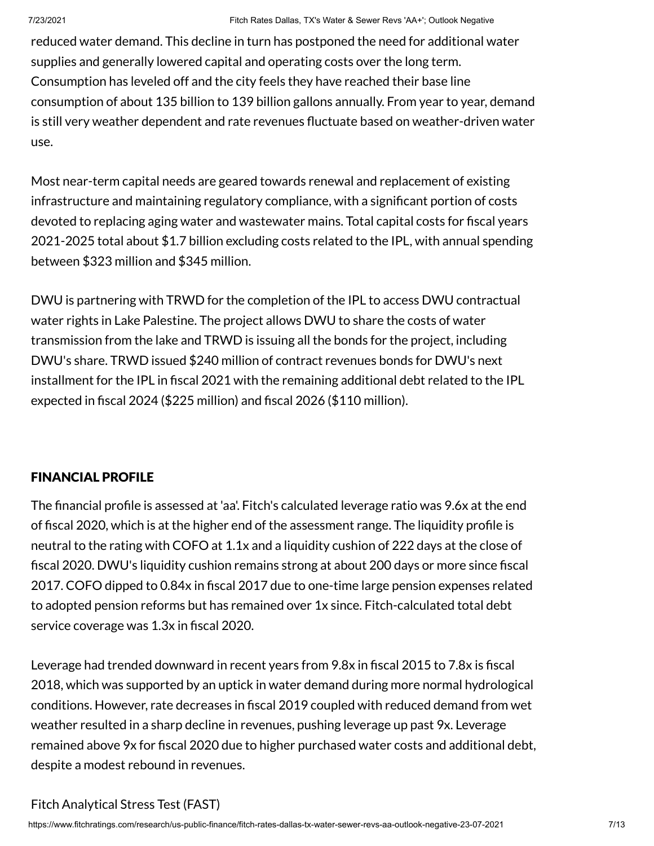reduced water demand. This decline in turn has postponed the need for additional water supplies and generally lowered capital and operating costs over the long term. Consumption has leveled off and the city feels they have reached their base line consumption of about 135 billion to 139 billion gallons annually. From year to year, demand is still very weather dependent and rate revenues fluctuate based on weather-driven water use.

Most near-term capital needs are geared towards renewal and replacement of existing infrastructure and maintaining regulatory compliance, with a significant portion of costs devoted to replacing aging water and wastewater mains. Total capital costs for fiscal years 2021-2025 total about \$1.7 billion excluding costs related to the IPL, with annual spending between \$323 million and \$345 million.

DWU is partnering with TRWD for the completion of the IPL to access DWU contractual water rights in Lake Palestine. The project allows DWU to share the costs of water transmission from the lake and TRWD is issuing all the bonds for the project, including DWU's share. TRWD issued \$240 million of contract revenues bonds for DWU's next installment for the IPL in fiscal 2021 with the remaining additional debt related to the IPL expected in fiscal 2024 (\$225 million) and fiscal 2026 (\$110 million).

## FINANCIAL PROFILE

The financial profile is assessed at 'aa'. Fitch's calculated leverage ratio was 9.6x at the end of fiscal 2020, which is at the higher end of the assessment range. The liquidity profile is neutral to the rating with COFO at 1.1x and a liquidity cushion of 222 days at the close of fiscal 2020. DWU's liquidity cushion remains strong at about 200 days or more since fiscal 2017. COFO dipped to 0.84x in fiscal 2017 due to one-time large pension expenses related to adopted pension reforms but has remained over 1x since. Fitch-calculated total debt service coverage was 1.3x in fiscal 2020.

Leverage had trended downward in recent years from 9.8x in fiscal 2015 to 7.8x is fiscal 2018, which was supported by an uptick in water demand during more normal hydrological conditions. However, rate decreases in fiscal 2019 coupled with reduced demand from wet weather resulted in a sharp decline in revenues, pushing leverage up past 9x. Leverage remained above 9x for fiscal 2020 due to higher purchased water costs and additional debt, despite a modest rebound in revenues.

## Fitch Analytical Stress Test (FAST)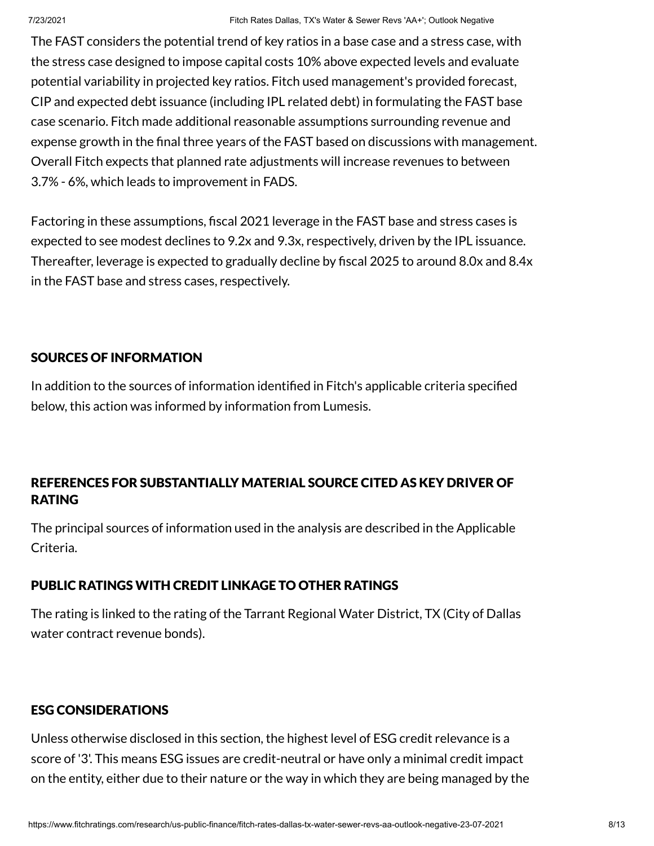The FAST considers the potential trend of key ratios in a base case and a stress case, with the stress case designed to impose capital costs 10% above expected levels and evaluate potential variability in projected key ratios. Fitch used management's provided forecast, CIP and expected debt issuance (including IPL related debt) in formulating the FAST base case scenario. Fitch made additional reasonable assumptions surrounding revenue and expense growth in the final three years of the FAST based on discussions with management. Overall Fitch expects that planned rate adjustments will increase revenues to between 3.7% - 6%, which leads to improvement in FADS.

Factoring in these assumptions, fiscal 2021 leverage in the FAST base and stress cases is expected to see modest declines to 9.2x and 9.3x, respectively, driven by the IPL issuance. Thereafter, leverage is expected to gradually decline by fiscal 2025 to around 8.0x and 8.4x in the FAST base and stress cases, respectively.

## SOURCES OF INFORMATION

In addition to the sources of information identified in Fitch's applicable criteria specified below, this action was informed by information from Lumesis.

## REFERENCES FOR SUBSTANTIALLY MATERIAL SOURCE CITED AS KEY DRIVER OF RATING

The principal sources of information used in the analysis are described in the Applicable Criteria.

## PUBLIC RATINGS WITH CREDIT LINKAGE TO OTHER RATINGS

The rating is linked to the rating of the Tarrant Regional Water District, TX (City of Dallas water contract revenue bonds).

## ESG CONSIDERATIONS

Unless otherwise disclosed in this section, the highest level of ESG credit relevance is a score of '3'. This means ESG issues are credit-neutral or have only a minimal credit impact on the entity, either due to their nature or the way in which they are being managed by the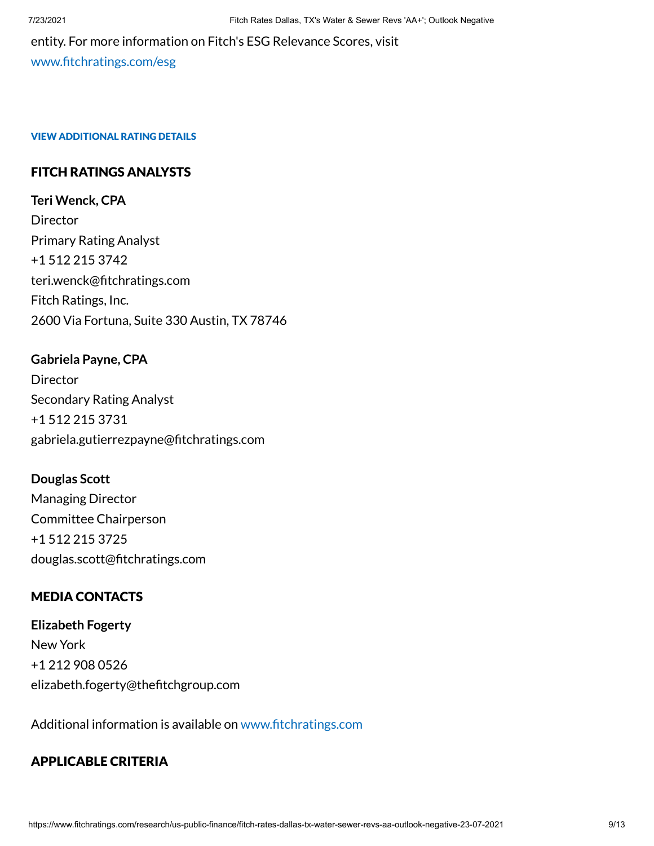entity. For more information on Fitch's ESG Relevance Scores, visit [www.fitchratings.com/esg](http://www.fitchratings.com/esg)

#### VIEW ADDITIONAL RATING DETAILS

## FITCH RATINGS ANALYSTS

## **Teri Wenck, CPA**

**Director** Primary Rating Analyst +1 512 215 3742 teri.wenck@fitchratings.com Fitch Ratings, Inc. 2600 Via Fortuna, Suite 330 Austin, TX 78746

#### **Gabriela Payne, CPA**

**Director** Secondary Rating Analyst +1 512 215 3731 gabriela.gutierrezpayne@fitchratings.com

#### **Douglas Scott**

Managing Director Committee Chairperson +1 512 215 3725 douglas.scott@fitchratings.com

## MEDIA CONTACTS

**Elizabeth Fogerty** New York +1 212 908 0526 elizabeth.fogerty@thefitchgroup.com

Additional information is available on [www.fitchratings.com](http://www.fitchratings.com/)

## APPLICABLE CRITERIA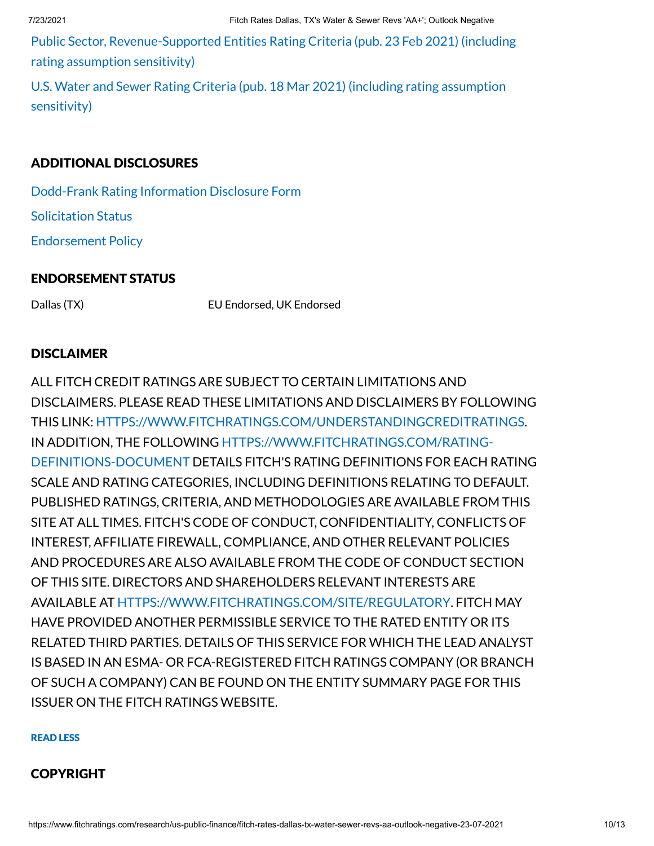Public Sector, [Revenue-Supported Entities](https://www.fitchratings.com/research/international-public-finance/public-sector-revenue-supported-entities-rating-criteria-23-02-2021) Rating Criteria (pub. 23 Feb 2021) (including rating assumption sensitivity)

U.S. Water and Sewer Rating Criteria (pub. 18 Mar 2021) (including rating [assumption](https://www.fitchratings.com/research/us-public-finance/us-water-sewer-rating-criteria-18-03-2021) sensitivity)

#### ADDITIONAL DISCLOSURES

[Dodd-Frank](https://www.fitchratings.com/research/us-public-finance/fitch-rates-dallas-tx-water-sewer-revs-aa-outlook-negative-23-07-2021/dodd-frank-disclosure) Rating Information Disclosure Form Solicitation Status

[Endorsement](#page-14-0) Policy

## ENDORSEMENT STATUS

Dallas (TX) EU Endorsed, UK Endorsed

## **DISCLAIMER**

ALL FITCH CREDIT RATINGS ARE SUBJECT TO CERTAIN LIMITATIONS AND DISCLAIMERS. PLEASE READ THESE LIMITATIONS AND DISCLAIMERS BY FOLLOWING THIS LINK: [HTTPS://WWW.FITCHRATINGS.COM/UNDERSTANDINGCREDITRATINGS](https://www.fitchratings.com/UNDERSTANDINGCREDITRATINGS). IN ADDITION, THE FOLLOWING [HTTPS://WWW.FITCHRATINGS.COM/RATING-](https://www.fitchratings.com/rating-definitions-document)DEFINITIONS-DOCUMENT DETAILS FITCH'S RATING DEFINITIONS FOR EACH RATING SCALE AND RATING CATEGORIES, INCLUDING DEFINITIONS RELATING TO DEFAULT. PUBLISHED RATINGS, CRITERIA, AND METHODOLOGIES ARE AVAILABLE FROM THIS SITE AT ALL TIMES. FITCH'S CODE OF CONDUCT, CONFIDENTIALITY, CONFLICTS OF INTEREST, AFFILIATE FIREWALL, COMPLIANCE, AND OTHER RELEVANT POLICIES AND PROCEDURES ARE ALSO AVAILABLE FROM THE CODE OF CONDUCT SECTION OF THIS SITE. DIRECTORS AND SHAREHOLDERS RELEVANT INTERESTS ARE AVAILABLE AT [HTTPS://WWW.FITCHRATINGS.COM/SITE/REGULATORY](https://www.fitchratings.com/site/regulatory). FITCH MAY HAVE PROVIDED ANOTHER PERMISSIBLE SERVICE TO THE RATED ENTITY OR ITS RELATED THIRD PARTIES. DETAILS OF THIS SERVICE FOR WHICH THE LEAD ANALYST IS BASED IN AN ESMA- OR FCA-REGISTERED FITCH RATINGS COMPANY (OR BRANCH OF SUCH A COMPANY) CAN BE FOUND ON THE ENTITY SUMMARY PAGE FOR THIS ISSUER ON THE FITCH RATINGS WEBSITE.

#### READ LESS

## COPYRIGHT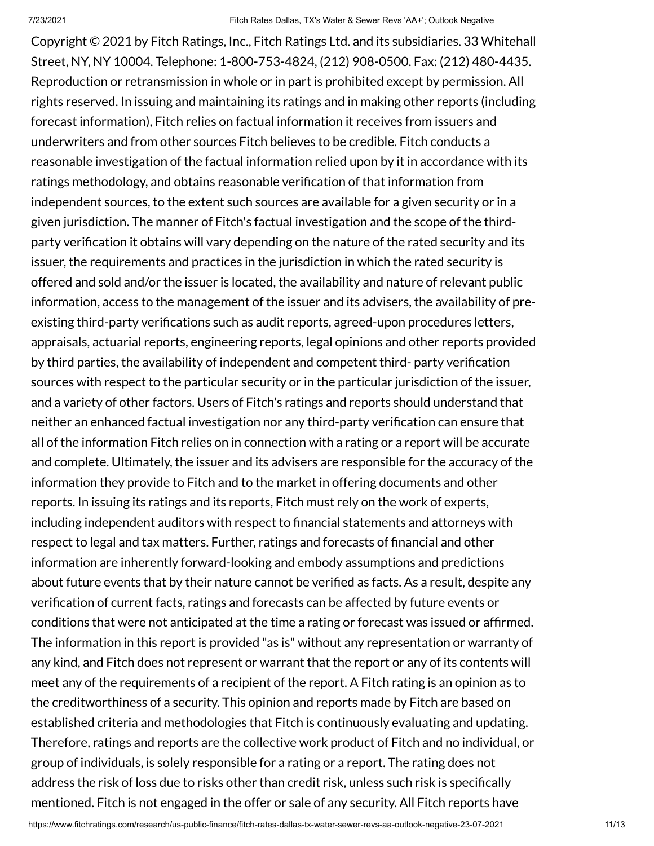Copyright © 2021 by Fitch Ratings, Inc., Fitch Ratings Ltd. and its subsidiaries. 33 Whitehall Street, NY, NY 10004. Telephone: 1-800-753-4824, (212) 908-0500. Fax: (212) 480-4435. Reproduction or retransmission in whole or in part is prohibited except by permission. All rights reserved. In issuing and maintaining its ratings and in making other reports (including forecast information), Fitch relies on factual information it receives from issuers and underwriters and from other sources Fitch believes to be credible. Fitch conducts a reasonable investigation of the factual information relied upon by it in accordance with its ratings methodology, and obtains reasonable verification of that information from independent sources, to the extent such sources are available for a given security or in a given jurisdiction. The manner of Fitch's factual investigation and the scope of the thirdparty verification it obtains will vary depending on the nature of the rated security and its issuer, the requirements and practices in the jurisdiction in which the rated security is offered and sold and/or the issuer is located, the availability and nature of relevant public information, access to the management of the issuer and its advisers, the availability of preexisting third-party verifications such as audit reports, agreed-upon procedures letters, appraisals, actuarial reports, engineering reports, legal opinions and other reports provided by third parties, the availability of independent and competent third- party verification sources with respect to the particular security or in the particular jurisdiction of the issuer, and a variety of other factors. Users of Fitch's ratings and reports should understand that neither an enhanced factual investigation nor any third-party verification can ensure that all of the information Fitch relies on in connection with a rating or a report will be accurate and complete. Ultimately, the issuer and its advisers are responsible for the accuracy of the information they provide to Fitch and to the market in offering documents and other reports. In issuing its ratings and its reports, Fitch must rely on the work of experts, including independent auditors with respect to financial statements and attorneys with respect to legal and tax matters. Further, ratings and forecasts of financial and other information are inherently forward-looking and embody assumptions and predictions about future events that by their nature cannot be verified as facts. As a result, despite any verification of current facts, ratings and forecasts can be affected by future events or conditions that were not anticipated at the time a rating or forecast was issued or affirmed. The information in this report is provided "as is" without any representation or warranty of any kind, and Fitch does not represent or warrant that the report or any of its contents will meet any of the requirements of a recipient of the report. A Fitch rating is an opinion as to the creditworthiness of a security. This opinion and reports made by Fitch are based on established criteria and methodologies that Fitch is continuously evaluating and updating. Therefore, ratings and reports are the collective work product of Fitch and no individual, or group of individuals, is solely responsible for a rating or a report. The rating does not address the risk of loss due to risks other than credit risk, unless such risk is specifically mentioned. Fitch is not engaged in the offer or sale of any security. All Fitch reports have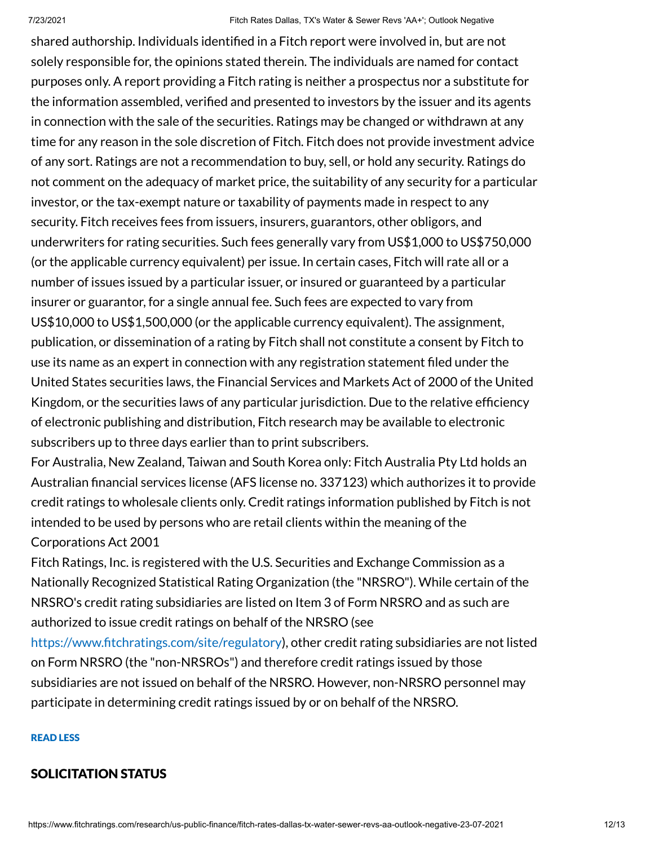shared authorship. Individuals identified in a Fitch report were involved in, but are not solely responsible for, the opinions stated therein. The individuals are named for contact purposes only. A report providing a Fitch rating is neither a prospectus nor a substitute for the information assembled, verified and presented to investors by the issuer and its agents in connection with the sale of the securities. Ratings may be changed or withdrawn at any time for any reason in the sole discretion of Fitch. Fitch does not provide investment advice of any sort. Ratings are not a recommendation to buy, sell, or hold any security. Ratings do not comment on the adequacy of market price, the suitability of any security for a particular investor, or the tax-exempt nature or taxability of payments made in respect to any security. Fitch receives fees from issuers, insurers, guarantors, other obligors, and underwriters for rating securities. Such fees generally vary from US\$1,000 to US\$750,000 (or the applicable currency equivalent) per issue. In certain cases, Fitch will rate all or a number of issues issued by a particular issuer, or insured or guaranteed by a particular insurer or guarantor, for a single annual fee. Such fees are expected to vary from US\$10,000 to US\$1,500,000 (or the applicable currency equivalent). The assignment, publication, or dissemination of a rating by Fitch shall not constitute a consent by Fitch to use its name as an expert in connection with any registration statement filed under the United States securities laws, the Financial Services and Markets Act of 2000 of the United Kingdom, or the securities laws of any particular jurisdiction. Due to the relative efficiency of electronic publishing and distribution, Fitch research may be available to electronic subscribers up to three days earlier than to print subscribers.

For Australia, New Zealand, Taiwan and South Korea only: Fitch Australia Pty Ltd holds an Australian financial services license (AFS license no. 337123) which authorizes it to provide credit ratings to wholesale clients only. Credit ratings information published by Fitch is not intended to be used by persons who are retail clients within the meaning of the Corporations Act 2001

Fitch Ratings, Inc. is registered with the U.S. Securities and Exchange Commission as a Nationally Recognized Statistical Rating Organization (the "NRSRO"). While certain of the NRSRO's credit rating subsidiaries are listed on Item 3 of Form NRSRO and as such are authorized to issue credit ratings on behalf of the NRSRO (see

[https://www.fitchratings.com/site/regulatory\)](https://www.fitchratings.com/site/regulatory), other credit rating subsidiaries are not listed on Form NRSRO (the "non-NRSROs") and therefore credit ratings issued by those subsidiaries are not issued on behalf of the NRSRO. However, non-NRSRO personnel may participate in determining credit ratings issued by or on behalf of the NRSRO.

#### READ LESS

## SOLICITATION STATUS